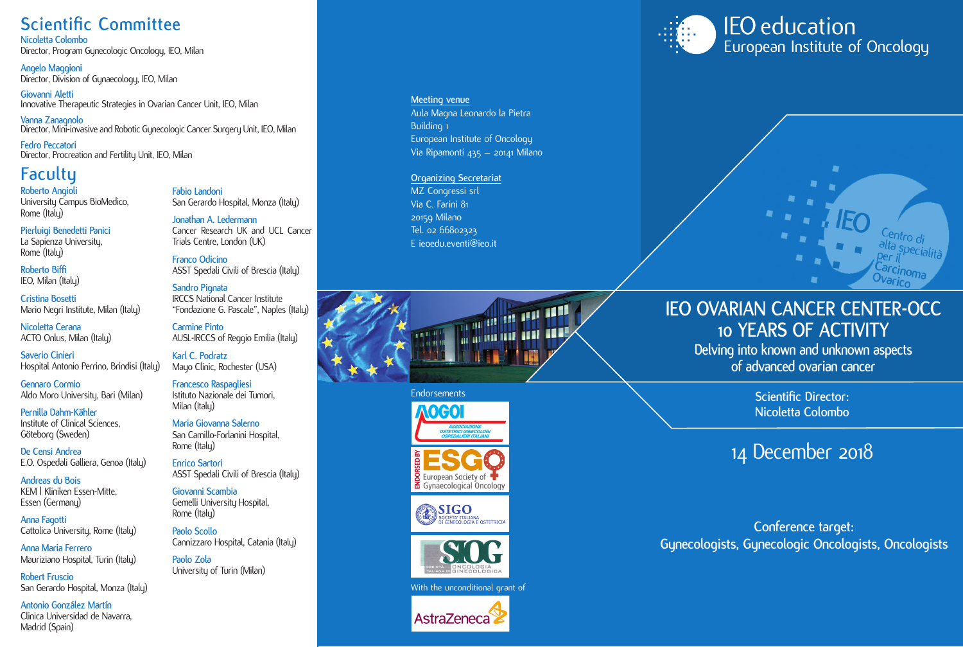### **Scientific Committee**

**Nicoletta Colombo** Director, Program Gynecologic Oncology, IEO, Milan

**Angelo Maggioni** Director, Division of Gynaecology, IEO, Milan

**Giovanni Aletti** Innovative Therapeutic Strategies in Ovarian Cancer Unit, IEO, Milan

**Vanna Zanagnolo** Director, Mini-invasive and Robotic Gynecologic Cancer Surgery Unit, IEO, Milan

**Fedro Peccatori** Director, Procreation and Fertility Unit, IEO, Milan

### **Faculty**

**Roberto Angioli** University Campus BioMedico, Rome (Italu)

**Pierluigi Benedetti Panici** La Sapienza University, Rome<sup>'</sup> (Italu)

**Roberto Biffi**  IEO, Milan (Italu)

**Cristina Bosetti** Mario Negri Institute, Milan (Italy)

**Nicoletta Cerana** ACTO Onlus, Milan (Italu)

**Saverio Cinieri** Hospital Antonio Perrino, Brindisi (Italy)

**Gennaro Cormio** Aldo Moro University, Bari (Milan)

**Pernilla Dahm-Kähler** Institute of Clinical Sciences, Göteborg (Sweden)

**De Censi Andrea** E.O. Ospedali Galliera, Genoa (Italy)

**Andreas du Bois** KEM | Kliniken Essen-Mitte, Essen (Germanu)

**Anna Fagotti** Cattolica University, Rome (Italy)

**Anna Maria Ferrero** Mauriziano Hospital, Turin (Italy)

**Robert Fruscio** San Gerardo Hospital, Monza (Italy)

Madrid (Spain)

**Fabio Landoni** San Gerardo Hospital, Monza (Italy)

**Jonathan A. Ledermann** Cancer Research UK and UCL Cancer Trials Centre, London (UK)

**Franco Odicino** ASST Spedali Civili of Brescia (Italy)

**Sandro Pignata** IRCCS National Cancer Institute "Fondazione G. Pascale", Naples (Italy)

**Carmine Pinto** AUSL-IRCCS of Reggio Emilia (Italy)

**Karl C. Podratz** Mayo Clinic, Rochester (USA)

**Francesco Raspagliesi**  Istituto Nazionale dei Tumori, Milan (Italu)

**Maria Giovanna Salerno** San Camillo-Forlanini Hospital, Rome (Italu)

**Enrico Sartori** ASST Spedali Civili of Brescia (Italy)

**Giovanni Scambia** Gemelli University Hospital,

Cannizzaro Hospital, Catania (Italy)

**Antonio González Martín** Clinica Universidad de Navarra,



**Paolo Zola** University of Turin (Milan) **Meeting venue**

Aula Magna Leonardo la Pietra Building 1 European Institute of Oncology Via Ripamonti 435 – 20141 Milano

**Organizing Secretariat** MZ Congressi srl Via C. Farini 81 20159 Milano Tel. 02 66802323 E ieoedu.eventi@ieo.it



#### **Endorsements**







With the unconditional grant of



**IEO** education European Institute of Oncology



### **IEO OVARIAN CANCER CENTER-OCC 10 YEARS OF ACTIVITY**

**Delving into known and unknown aspects of advanced ovarian cancer**

> **Scientific Director: Nicoletta Colombo**

## 14 December 2018

#### **Conference target: Gynecologists, Gynecologic Oncologists, Oncologists**